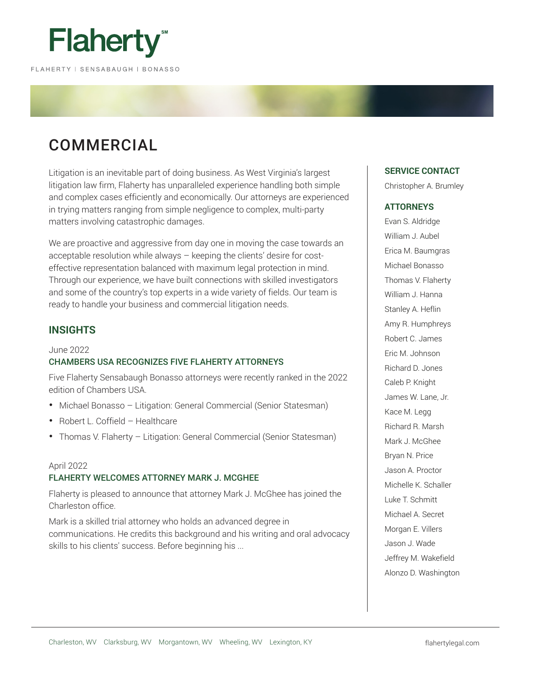

# COMMERCIAL

Litigation is an inevitable part of doing business. As West Virginia's largest litigation law firm, Flaherty has unparalleled experience handling both simple and complex cases efficiently and economically. Our attorneys are experienced in trying matters ranging from simple negligence to complex, multi-party matters involving catastrophic damages.

We are proactive and aggressive from day one in moving the case towards an acceptable resolution while always – keeping the clients' desire for costeffective representation balanced with maximum legal protection in mind. Through our experience, we have built connections with skilled investigators and some of the country's top experts in a wide variety of fields. Our team is ready to handle your business and commercial litigation needs.

# **INSIGHTS**

# June 2022 CHAMBERS USA RECOGNIZES FIVE FLAHERTY ATTORNEYS

Five Flaherty Sensabaugh Bonasso attorneys were recently ranked in the 2022 edition of Chambers USA.

- Michael Bonasso Litigation: General Commercial (Senior Statesman)
- Robert L. Coffield Healthcare
- Thomas V. Flaherty Litigation: General Commercial (Senior Statesman)

# April 2022 FLAHERTY WELCOMES ATTORNEY MARK J. MCGHEE

Flaherty is pleased to announce that attorney Mark J. McGhee has joined the Charleston office.

Mark is a skilled trial attorney who holds an advanced degree in communications. He credits this background and his writing and oral advocacy skills to his clients' success. Before beginning his ...

# **SERVICE CONTACT**

Christopher A. Brumley

# **ATTORNEYS**

Evan S. Aldridge William J. Aubel Erica M. Baumgras Michael Bonasso Thomas V. Flaherty William J. Hanna Stanley A. Heflin Amy R. Humphreys Robert C. James Eric M. Johnson Richard D. Jones Caleb P. Knight James W. Lane, Jr. Kace M. Legg Richard R. Marsh Mark J. McGhee Bryan N. Price Jason A. Proctor Michelle K. Schaller Luke T. Schmitt Michael A. Secret Morgan E. Villers Jason J. Wade Jeffrey M. Wakefield Alonzo D. Washington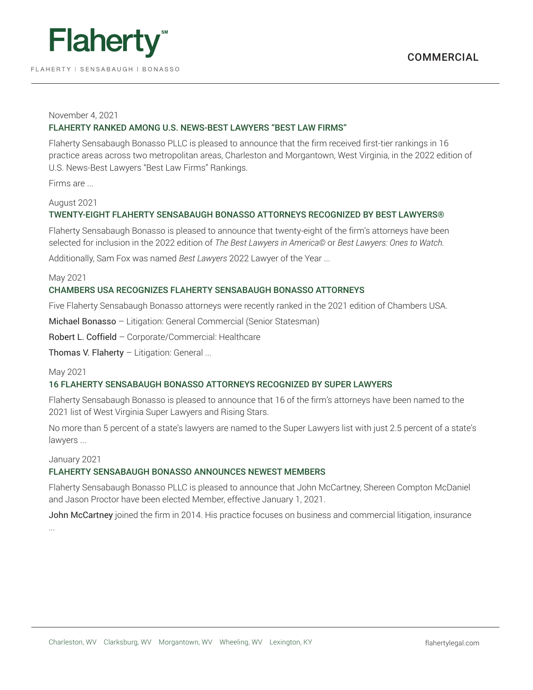

FLAHERTY | SENSABAUGH | BONASSO

# COMMERCIAL

## November 4, 2021

# FLAHERTY RANKED AMONG U.S. NEWS-BEST LAWYERS "BEST LAW FIRMS"

Flaherty Sensabaugh Bonasso PLLC is pleased to announce that the firm received first-tier rankings in 16 practice areas across two metropolitan areas, Charleston and Morgantown, West Virginia, in the 2022 edition of U.S. News-Best Lawyers "Best Law Firms" Rankings.

Firms are ...

#### August 2021

# TWENTY-EIGHT FLAHERTY SENSABAUGH BONASSO ATTORNEYS RECOGNIZED BY BEST LAWYERS®

Flaherty Sensabaugh Bonasso is pleased to announce that twenty-eight of the firm's attorneys have been selected for inclusion in the 2022 edition of *The Best Lawyers in America©* or *Best Lawyers: Ones to Watch.*

Additionally, Sam Fox was named *Best Lawyers* 2022 Lawyer of the Year ...

#### May 2021

# CHAMBERS USA RECOGNIZES FLAHERTY SENSABAUGH BONASSO ATTORNEYS

Five Flaherty Sensabaugh Bonasso attorneys were recently ranked in the 2021 edition of Chambers USA.

Michael Bonasso – Litigation: General Commercial (Senior Statesman)

Robert L. Coffield – Corporate/Commercial: Healthcare

Thomas V. Flaherty – Litigation: General ...

# May 2021

# 16 FLAHERTY SENSABAUGH BONASSO ATTORNEYS RECOGNIZED BY SUPER LAWYERS

Flaherty Sensabaugh Bonasso is pleased to announce that 16 of the firm's attorneys have been named to the 2021 list of West Virginia Super Lawyers and Rising Stars.

No more than 5 percent of a state's lawyers are named to the Super Lawyers list with just 2.5 percent of a state's lawyers ...

# January 2021

# FLAHERTY SENSABAUGH BONASSO ANNOUNCES NEWEST MEMBERS

Flaherty Sensabaugh Bonasso PLLC is pleased to announce that John McCartney, Shereen Compton McDaniel and Jason Proctor have been elected Member, effective January 1, 2021.

John McCartney joined the firm in 2014. His practice focuses on business and commercial litigation, insurance ...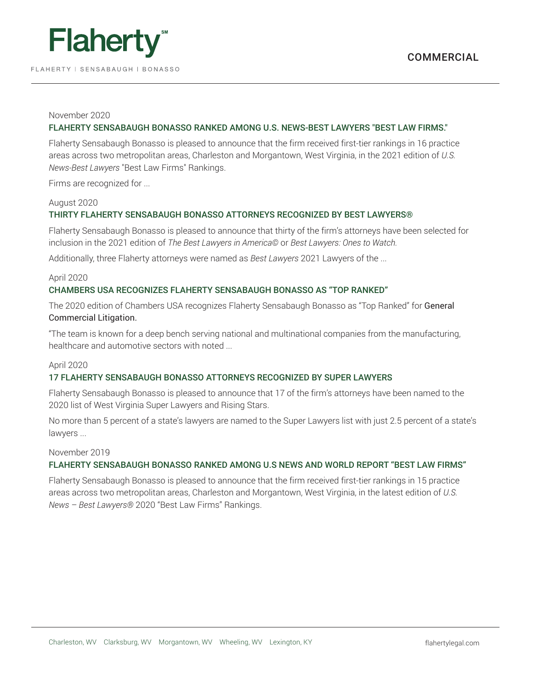

#### November 2020

# FLAHERTY SENSABAUGH BONASSO RANKED AMONG U.S. NEWS-BEST LAWYERS "BEST LAW FIRMS."

Flaherty Sensabaugh Bonasso is pleased to announce that the firm received first-tier rankings in 16 practice areas across two metropolitan areas, Charleston and Morgantown, West Virginia, in the 2021 edition of *U.S. News-Best Lawyers* "Best Law Firms" Rankings.

Firms are recognized for ...

#### August 2020

# THIRTY FLAHERTY SENSABAUGH BONASSO ATTORNEYS RECOGNIZED BY BEST LAWYERS®

Flaherty Sensabaugh Bonasso is pleased to announce that thirty of the firm's attorneys have been selected for inclusion in the 2021 edition of *The Best Lawyers in America©* or *Best Lawyers: Ones to Watch.*

Additionally, three Flaherty attorneys were named as *Best Lawyers* 2021 Lawyers of the ...

#### April 2020

# CHAMBERS USA RECOGNIZES FLAHERTY SENSABAUGH BONASSO AS "TOP RANKED"

The 2020 edition of Chambers USA recognizes Flaherty Sensabaugh Bonasso as "Top Ranked" for General Commercial Litigation.

"The team is known for a deep bench serving national and multinational companies from the manufacturing, healthcare and automotive sectors with noted ...

#### April 2020

# 17 FLAHERTY SENSABAUGH BONASSO ATTORNEYS RECOGNIZED BY SUPER LAWYERS

Flaherty Sensabaugh Bonasso is pleased to announce that 17 of the firm's attorneys have been named to the 2020 list of West Virginia Super Lawyers and Rising Stars.

No more than 5 percent of a state's lawyers are named to the Super Lawyers list with just 2.5 percent of a state's lawyers ...

#### November 2019

# FLAHERTY SENSABAUGH BONASSO RANKED AMONG U.S NEWS AND WORLD REPORT "BEST LAW FIRMS"

Flaherty Sensabaugh Bonasso is pleased to announce that the firm received first-tier rankings in 15 practice areas across two metropolitan areas, Charleston and Morgantown, West Virginia, in the latest edition of *U.S. News – Best Lawyers®* 2020 "Best Law Firms" Rankings.